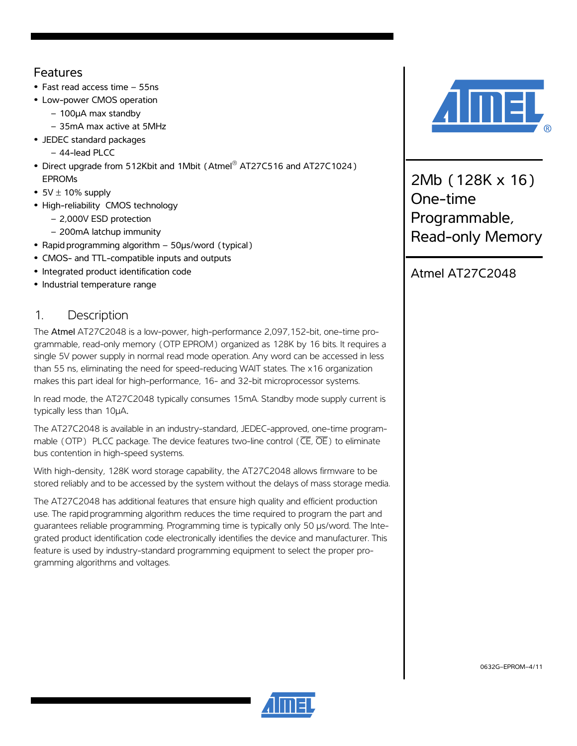### Features

- **•** Fast read access time 55ns
- **•** Low-power CMOS operation
	- 100µA max standby
	- 35mA max active at 5MHz
- **•** JEDEC standard packages
	- 44-lead PLCC
- **•** Direct upgrade from 512Kbit and 1Mbit (Atmel® AT27C516 and AT27C1024) EPROMs
- $\bullet$  5V  $\pm$  10% supply
- **•** High-reliability CMOS technology
	- 2,000V ESD protection
	- 200mA latchup immunity
- **•** Rapid programming algorithm 50µs/word (typical)
- **•** CMOS- and TTL-compatible inputs and outputs
- **•** Integrated product identification code
- **•** Industrial temperature range

## 1. Description

The Atmel AT27C2048 is a low-power, high-performance 2,097,152-bit, one-time programmable, read-only memory (OTP EPROM) organized as 128K by 16 bits. It requires a single 5V power supply in normal read mode operation. Any word can be accessed in less than 55 ns, eliminating the need for speed-reducing WAIT states. The x16 organization makes this part ideal for high-performance, 16- and 32-bit microprocessor systems.

In read mode, the AT27C2048 typically consumes 15mA. Standby mode supply current is typically less than 10µA

The AT27C2048 is available in an industry-standard, JEDEC-approved, one-time programmable (OTP) PLCC package. The device features two-line control ( $\overline{\text{CE}}, \overline{\text{OE}}$ ) to eliminate bus contention in high-speed systems.

With high-density, 128K word storage capability, the AT27C2048 allows firmware to be stored reliably and to be accessed by the system without the delays of mass storage media.

The AT27C2048 has additional features that ensure high quality and efficient production use. The rapid programming algorithm reduces the time required to program the part and guarantees reliable programming. Programming time is typically only 50 µs/word. The Integrated product identification code electronically identifies the device and manufacturer. This feature is used by industry-standard programming equipment to select the proper programming algorithms and voltages.



2Mb (128K x 16) One-time Programmable, Read-only Memory

Atmel AT27C2048



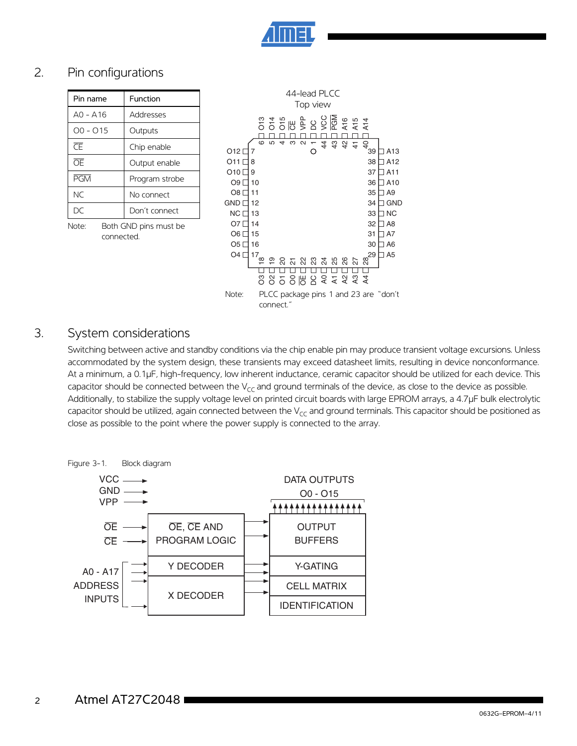

### 2. Pin configurations

| Pin name   | Function       |
|------------|----------------|
| $AO - A16$ | Addresses      |
| $OO - O15$ | Outputs        |
| Œ          | Chip enable    |
| <b>OE</b>  | Output enable  |
| <b>PGM</b> | Program strobe |
| NC.        | No connect     |
| DС         | Don't connect  |

Note: Both GND pins must be connected.



#### 3. System considerations

Switching between active and standby conditions via the chip enable pin may produce transient voltage excursions. Unless accommodated by the system design, these transients may exceed datasheet limits, resulting in device nonconformance. At a minimum, a 0.1µF, high-frequency, low inherent inductance, ceramic capacitor should be utilized for each device. This capacitor should be connected between the  $V_{cc}$  and ground terminals of the device, as close to the device as possible. Additionally, to stabilize the supply voltage level on printed circuit boards with large EPROM arrays, a 4.7µF bulk electrolytic capacitor should be utilized, again connected between the  $V_{CC}$  and ground terminals. This capacitor should be positioned as close as possible to the point where the power supply is connected to the array.

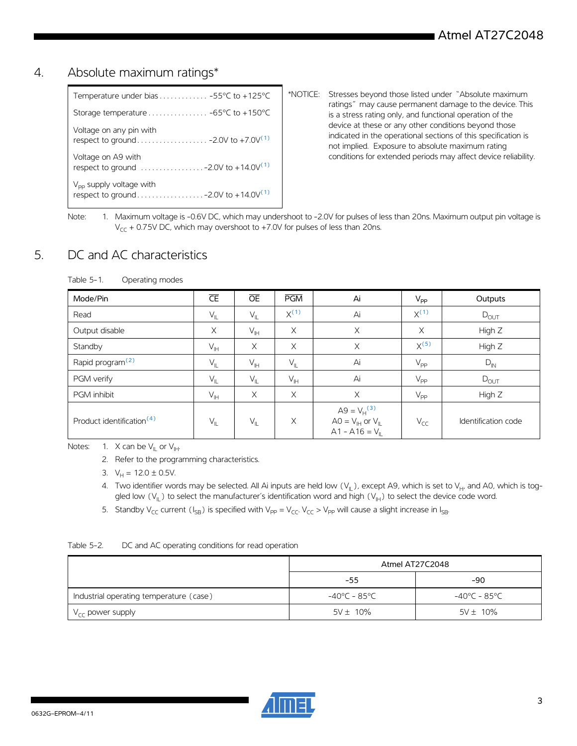#### 4. Absolute maximum ratings\*

| Temperature under bias  -55°C to +125°C                                                                     |  |
|-------------------------------------------------------------------------------------------------------------|--|
| Storage temperature $\ldots \ldots \ldots \ldots -65$ °C to +150°C                                          |  |
| Voltage on any pin with                                                                                     |  |
| Voltage on A9 with<br>respect to ground $\ldots \ldots \ldots \ldots \ldots -2.0V$ to +14.0V <sup>(1)</sup> |  |
| $V_{\text{pp}}$ supply voltage with                                                                         |  |

\*NOTICE: Stresses beyond those listed under "Absolute maximum ratings" may cause permanent damage to the device. This is a stress rating only, and functional operation of the device at these or any other conditions beyond those indicated in the operational sections of this specification is not implied. Exposure to absolute maximum rating conditions for extended periods may affect device reliability.

<span id="page-2-5"></span>Note: 1. Maximum voltage is -0.6V DC, which may undershoot to -2.0V for pulses of less than 20ns. Maximum output pin voltage is  $V_{CC}$  + 0.75V DC, which may overshoot to +7.0V for pulses of less than 20ns.

#### 5. DC and AC characteristics

| Mode/Pin                              | $\overline{\textsf{CE}}$ | $\overline{OE}$            | PGM             | Ai                                                                                        | $V_{\sf PP}$    | Outputs             |
|---------------------------------------|--------------------------|----------------------------|-----------------|-------------------------------------------------------------------------------------------|-----------------|---------------------|
| Read                                  | $V_{IL}$                 | $\mathsf{V}_{\mathsf{IL}}$ | $X^{(1)}$       | Ai                                                                                        | $X^{(1)}$       | $D_{OUT}$           |
| Output disable                        | X                        | $V_{\text{IH}}$            | $\times$        | $\times$                                                                                  | $\times$        | High Z              |
| Standby                               | $V_{\parallel}$          | $\times$                   | $\times$        | $\times$                                                                                  | $X^{(5)}$       | High Z              |
| Rapid program <sup>(2)</sup>          | $V_{IL}$                 | $V_{\text{H}}$             | $V_{\parallel}$ | Ai                                                                                        | $V_{\text{PP}}$ | $D_{IN}$            |
| PGM verify                            | $V_{IL}$                 | $V_{IL}$                   | $V_{\text{IH}}$ | Ai                                                                                        | $V_{\text{PP}}$ | $D_{\text{OUT}}$    |
| PGM inhibit                           | $V_{\parallel H}$        | $\times$                   | $\times$        | $\times$                                                                                  | $V_{\text{PP}}$ | High Z              |
| Product identification <sup>(4)</sup> | $V_{IL}$                 | $\mathsf{V}_{\mathsf{IL}}$ | $\times$        | A9 = $V_H^{(3)}$<br>$AO = V_{\text{IH}}$ or $V_{\text{II}}$<br>$A1 - A16 = V_{\parallel}$ | $V_{CC}$        | Identification code |

<span id="page-2-4"></span><span id="page-2-3"></span><span id="page-2-2"></span><span id="page-2-0"></span>Notes: 1. X can be  $V_{II}$  or  $V_{III}$ .

2. Refer to the programming characteristics.

3.  $V_H = 12.0 \pm 0.5V$ .

4. Two identifier words may be selected. All Ai inputs are held low  $(V_{\parallel})$ , except A9, which is set to  $V_{H'}$  and A0, which is toggled low  $(V_{II})$  to select the manufacturer's identification word and high  $(V_{II})$  to select the device code word.

5. Standby V<sub>CC</sub> current (I<sub>SB</sub>) is specified with V<sub>PP</sub> = V<sub>CC</sub>. V<sub>CC</sub> > V<sub>PP</sub> will cause a slight increase in I<sub>SB</sub>.

<span id="page-2-1"></span>

|                                         | Atmel AT27C2048 |                        |  |  |
|-----------------------------------------|-----------------|------------------------|--|--|
|                                         | $-55$           | $-90$                  |  |  |
| Industrial operating temperature (case) | -40°C - 85°C    | $-40^{\circ}$ C – 85°C |  |  |
| $V_{CC}$ power supply                   | $5V \pm 10\%$   | $5V \pm 10\%$          |  |  |

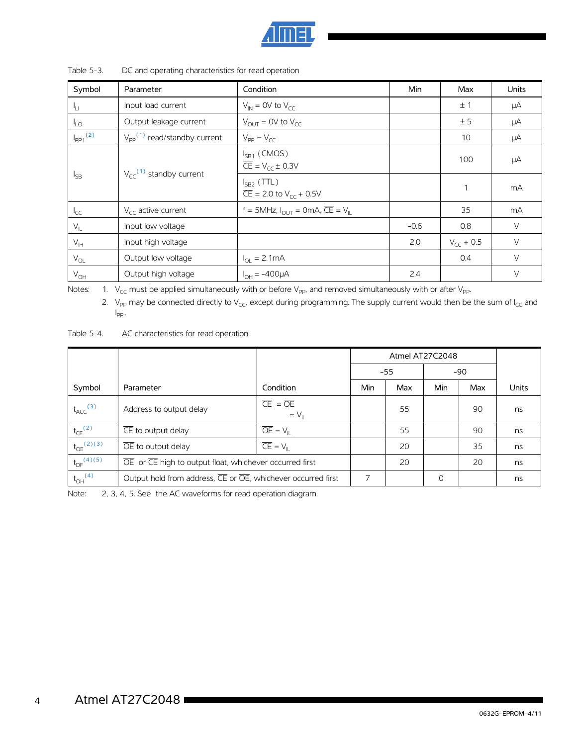

| Symbol                                              | Parameter                                  | Condition                                                                  | Min    | Max            | <b>Units</b> |
|-----------------------------------------------------|--------------------------------------------|----------------------------------------------------------------------------|--------|----------------|--------------|
| Чu                                                  | Input load current                         | $V_{IN}$ = 0V to $V_{CC}$                                                  |        | ±1             | μA           |
| $\frac{1}{2}$                                       | Output leakage current                     | $V_{\text{OUT}} = 0V$ to $V_{\text{CC}}$                                   |        | ± 5            | μA           |
| $I_{PP1}$ <sup>(2)</sup>                            | $V_{\text{pp}}^{(1)}$ read/standby current | $V_{PP} = V_{CC}$                                                          |        | 10             | μA           |
| $V_{cc}$ <sup>(1)</sup> standby current<br>$I_{SB}$ |                                            | $I_{SB1}$ (CMOS)<br>$\overline{CE}$ = $V_{cr}$ ± 0.3V                      |        | 100            | μA           |
|                                                     |                                            | $I_{SB2}$ (TTL)<br>$\overline{CE}$ = 2.0 to V <sub>cc</sub> + 0.5V         |        | $\mathbf{1}$   | mA           |
| $I_{CC}$                                            | $V_{\text{CC}}$ active current             | f = 5MHz, $I_{\text{OUT}}$ = 0mA, $\overline{\text{CE}}$ = $V_{\text{II}}$ |        | 35             | mA           |
| $V_{\parallel}$                                     | Input low voltage                          |                                                                            | $-0.6$ | 0.8            | $\vee$       |
| $V_{\text{IH}}$                                     | Input high voltage                         |                                                                            | 2.0    | $V_{cr}$ + 0.5 | $\vee$       |
| $V_{OL}$                                            | Output low voltage                         | $I_{\Omega I} = 2.1 \text{mA}$                                             |        | 0.4            | $\vee$       |
| $V_{OH}$                                            | Output high voltage                        | $I_{OH} = -400 \mu A$                                                      | 2.4    |                | $\vee$       |

Table 5-3. DC and operating characteristics for read operation

<span id="page-3-1"></span><span id="page-3-0"></span>Notes: 1.  $V_{CC}$  must be applied simultaneously with or before  $V_{PP}$ , and removed simultaneously with or after  $V_{PP}$ .

2. V<sub>PP</sub> may be connected directly to V<sub>CC</sub>, except during programming. The supply current would then be the sum of I<sub>CC</sub> and I  $I_{\text{PP}}$ ..

Table 5-4. AC characteristics for read operation

|                            |                                                              |                                                      |     | Atmel AT27C2048 |          |       |       |
|----------------------------|--------------------------------------------------------------|------------------------------------------------------|-----|-----------------|----------|-------|-------|
|                            |                                                              |                                                      |     | $-55$           |          | $-90$ |       |
| Symbol                     | Parameter                                                    | Condition                                            | Min | Max             | Min      | Max   | Units |
| $t_{\text{ACC}}^{(3)}$     | Address to output delay                                      | $\overline{CE} = \overline{OE}$<br>$= V_{\parallel}$ |     | 55              |          | 90    | ns    |
| $t_{CE}$ <sup>(2)</sup>    | CE to output delay                                           | $\overline{OE} = V_{\parallel}$                      |     | 55              |          | 90    | ns    |
| $t_{OE}^{(2)(3)}$          | $\overline{OE}$ to output delay                              | $\overline{CE} = V_{\parallel}$                      |     | 20              |          | 35    | ns    |
| $t_{DF}$ <sup>(4)(5)</sup> | OE or CE high to output float, whichever occurred first      |                                                      |     | 20              |          | 20    | ns    |
| $t_{OH}$ <sup>(4)</sup>    | Output hold from address, CE or OE, whichever occurred first |                                                      | ⇁   |                 | $\Omega$ |       | ns    |

Note: 2, 3, 4, 5. See the AC waveforms for read operation diagram.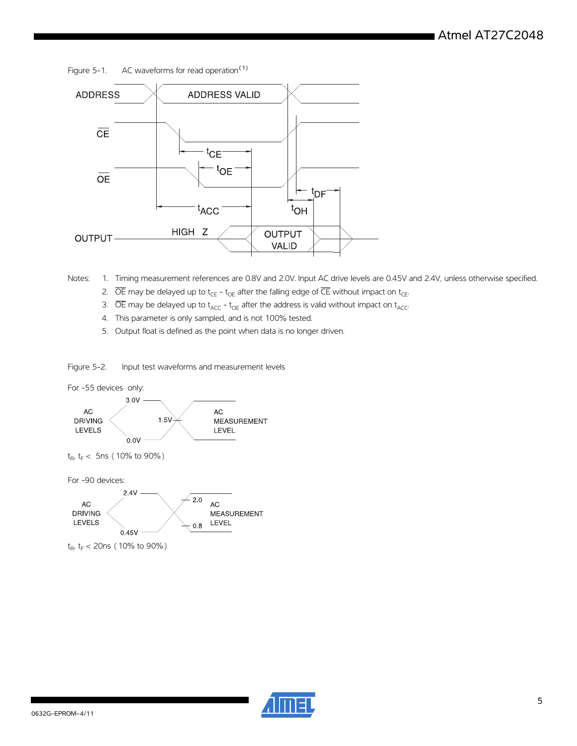Figure 5-1. AC waveforms for read operation<sup>(1)</sup>



<span id="page-4-1"></span><span id="page-4-0"></span>Notes: 1. Timing measurement references are 0.8V and 2.0V. Input AC drive levels are 0.45V and 2.4V, unless otherwise specified.

- 2.  $\overline{OE}$  may be delayed up to t<sub>CE</sub> t<sub>OE</sub> after the falling edge of  $\overline{CE}$  without impact on t<sub>CE</sub>.
- 3.  $\overline{OE}$  may be delayed up to  $t_{\text{ACC}}$   $t_{\text{OE}}$  after the address is valid without impact on  $t_{\text{ACC}}$ .
- <span id="page-4-2"></span>4. This parameter is only sampled, and is not 100% tested.
- 5. Output float is defined as the point when data is no longer driven.

<span id="page-4-3"></span>Figure 5-2. Input test waveforms and measurement levels



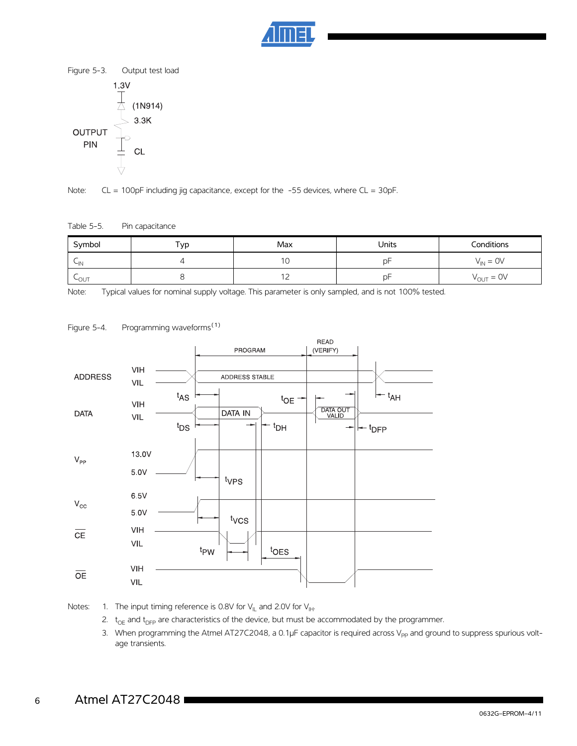



Note: CL = 100pF including jig capacitance, except for the -55 devices, where CL = 30pF.

#### Table 5-5. Pin capacitance

| Symbol    | ⊤ур | Max      | Units | Conditions                   |  |
|-----------|-----|----------|-------|------------------------------|--|
| $\sim$ IN |     | 10       | D۲    | $V_{IN} = OV$                |  |
| LOUT      |     | -<br>- ⊥ | ٥F    | $V_{\text{OUT}} = \text{OV}$ |  |

Note: Typical values for nominal supply voltage. This parameter is only sampled, and is not 100% tested.



Figure 5-4. Programming waveforms<sup>(1)</sup>

Notes: 1. The input timing reference is 0.8V for  $V_{\parallel L}$  and 2.0V for  $V_{\parallel H}$ .

- 2.  $t_{OE}$  and  $t_{DFP}$  are characteristics of the device, but must be accommodated by the programmer.
- 3. When programming the Atmel AT27C2048, a 0.1µF capacitor is required across V<sub>PP</sub> and ground to suppress spurious voltage transients.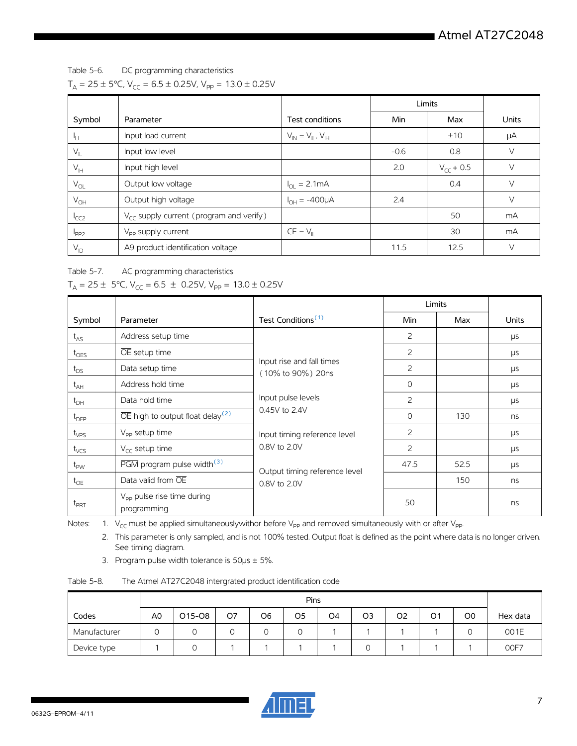Table 5-6. DC programming characteristics  $T_A = 25 \pm 5^{\circ}$ C, V<sub>CC</sub> = 6.5  $\pm$  0.25V, V<sub>PP</sub> = 13.0  $\pm$  0.25V

|                            |                                              |                                 | Limits |                |       |
|----------------------------|----------------------------------------------|---------------------------------|--------|----------------|-------|
| Symbol                     | Parameter                                    | Test conditions                 | Min    | Max            | Units |
| ١u                         | Input load current                           | $V_{IN} = V_{IL}$ , $V_{IH}$    |        | ±10            | μA    |
| $V_{\parallel L}$          | Input low level                              |                                 | $-0.6$ | 0.8            | V     |
| $V_{\ H}$                  | Input high level                             |                                 | 2.0    | $V_{CC}$ + 0.5 | V     |
| $\mathsf{V}_{\mathsf{OL}}$ | Output low voltage                           | $I_{OL} = 2.1 \text{mA}$        |        | 0.4            | V     |
| $V_{OH}$                   | Output high voltage                          | $I_{OH} = -400 \mu A$           | 2.4    |                | V     |
| ICC2                       | $V_{CC}$ supply current (program and verify) |                                 |        | 50             | mA    |
| $I_{PP2}$                  | V <sub>pp</sub> supply current               | $\overline{CE} = V_{\parallel}$ |        | 30             | mA    |
| $V_{ID}$                   | A9 product identification voltage            |                                 | 11.5   | 12.5           | V     |

Table 5-7. AC programming characteristics

|                  |                                                           |                                                                                                                                      | Limits   |      |              |
|------------------|-----------------------------------------------------------|--------------------------------------------------------------------------------------------------------------------------------------|----------|------|--------------|
| Symbol           | Parameter                                                 | Test Conditions <sup>(1)</sup>                                                                                                       | Min      | Max  | <b>Units</b> |
| $t_{AS}$         | Address setup time                                        |                                                                                                                                      | 2        |      | μs           |
| $t_{OES}$        | OE setup time                                             |                                                                                                                                      | 2        |      | μs           |
| $t_{DS}$         | Data setup time                                           | Input rise and fall times<br>(10% to 90%) 20ns                                                                                       | 2        |      | μs           |
| $t_{AH}$         | Address hold time                                         |                                                                                                                                      | $\Omega$ |      | $\mu s$      |
| $t_{DH}$         | Data hold time                                            | Input pulse levels<br>0.45V to 2.4V<br>Input timing reference level<br>0.8V to 2.0V<br>Output timing reference level<br>0.8V to 2.0V | 2        |      | μs           |
| $t_{\text{DFP}}$ | $\overline{OE}$ high to output float delay <sup>(2)</sup> |                                                                                                                                      | $\Omega$ | 130  | ns           |
| $t_{VPS}$        | $V_{\text{pp}}$ setup time                                |                                                                                                                                      | 2        |      | μs           |
| $t_{VCS}$        | $V_{\text{CC}}$ setup time                                |                                                                                                                                      | 2        |      | μs           |
| $t_{\text{PW}}$  | $\overline{PGM}$ program pulse width <sup>(3)</sup>       |                                                                                                                                      | 47.5     | 52.5 | μs           |
| $t_{OE}$         | Data valid from OE                                        |                                                                                                                                      |          | 150  | ns           |
| $t_{\text{PRT}}$ | V <sub>PP</sub> pulse rise time during<br>programming     |                                                                                                                                      | 50       |      | ns           |

<span id="page-6-0"></span>Notes: 1.  $V_{CC}$  must be applied simultaneouslywithor before V<sub>pp</sub> and removed simultaneously with or after V<sub>pp</sub>.

2. This parameter is only sampled, and is not 100% tested. Output float is defined as the point where data is no longer driven. See timing diagram.

3. Program pulse width tolerance is  $50\mu s \pm 5\%$ .

<span id="page-6-1"></span>

| The Atmel AT27C2048 intergrated product identification code |
|-------------------------------------------------------------|
|                                                             |

|              | Pins |        |    |    |    |                |    |                |    |    |          |
|--------------|------|--------|----|----|----|----------------|----|----------------|----|----|----------|
| Codes        | A0   | O15-O8 | O7 | O6 | O5 | O <sub>4</sub> | O3 | O <sub>2</sub> | O1 | O0 | Hex data |
| Manufacturer | 0    |        | 0  |    |    |                |    |                |    | ◡  | 001E     |
| Device type  |      |        |    |    |    |                |    |                |    |    | OOF7     |

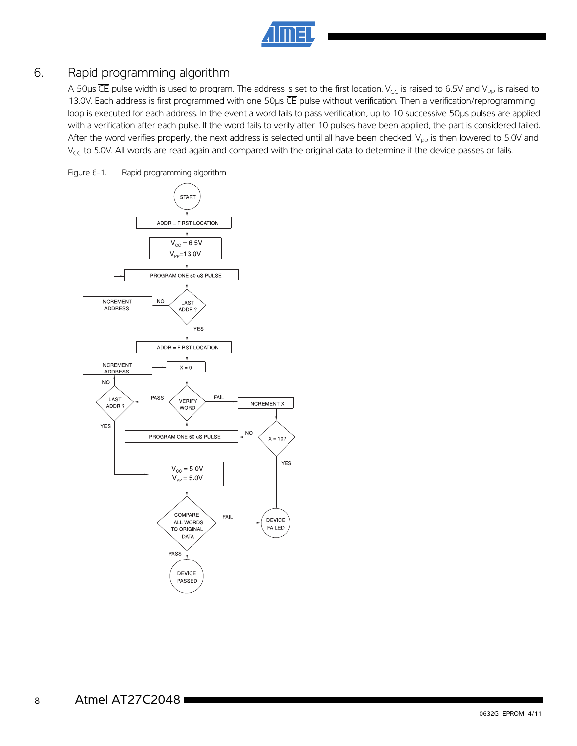| ۰. | ۰. |  |
|----|----|--|
|    |    |  |

### 6. Rapid programming algorithm

A 50 $\mu$ s CE pulse width is used to program. The address is set to the first location. V<sub>CC</sub> is raised to 6.5V and V<sub>PP</sub> is raised to 13.0V. Each address is first programmed with one 50us CE pulse without verification. Then a verification/reprogramming loop is executed for each address. In the event a word fails to pass verification, up to 10 successive 50µs pulses are applied with a verification after each pulse. If the word fails to verify after 10 pulses have been applied, the part is considered failed. After the word verifies properly, the next address is selected until all have been checked. V<sub>PP</sub> is then lowered to 5.0V and  $V_{CC}$  to 5.0V. All words are read again and compared with the original data to determine if the device passes or fails.

Figure 6-1. Rapid programming algorithm

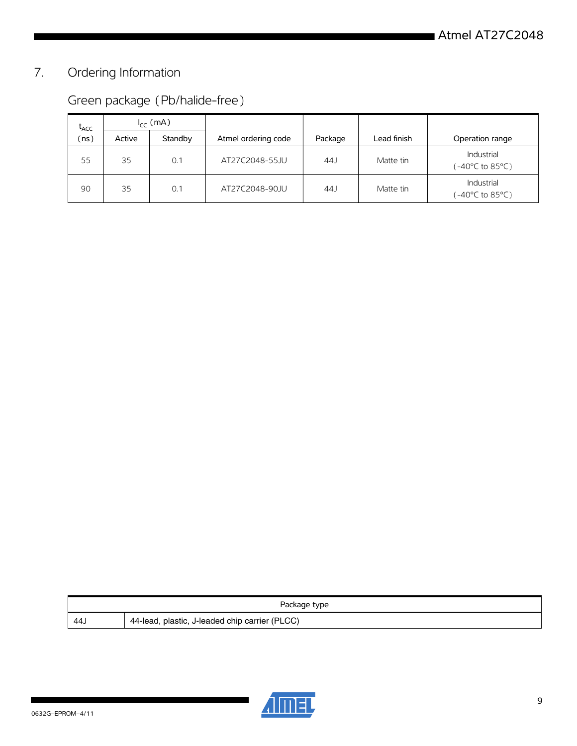# 7. Ordering Information

|  | Green package (Pb/halide-free) |
|--|--------------------------------|
|--|--------------------------------|

| $t_{ACC}$ | $I_{CC}$ (mA) |         |                     |         |             |                               |
|-----------|---------------|---------|---------------------|---------|-------------|-------------------------------|
| (ns)      | Active        | Standby | Atmel ordering code | Package | Lead finish | Operation range               |
| 55        | 35            | 0.1     | AT27C2048-55.IU     | 44      | Matte tin   | Industrial<br>(-40°C to 85°C) |
| 90        | 35            | 0.1     | AT27C2048-90JU      | 44J     | Matte tin   | Industrial<br>(-40°C to 85°C) |

| Package type |                                                |  |  |  |  |  |
|--------------|------------------------------------------------|--|--|--|--|--|
| 44.          | 44-lead, plastic, J-leaded chip carrier (PLCC) |  |  |  |  |  |



ı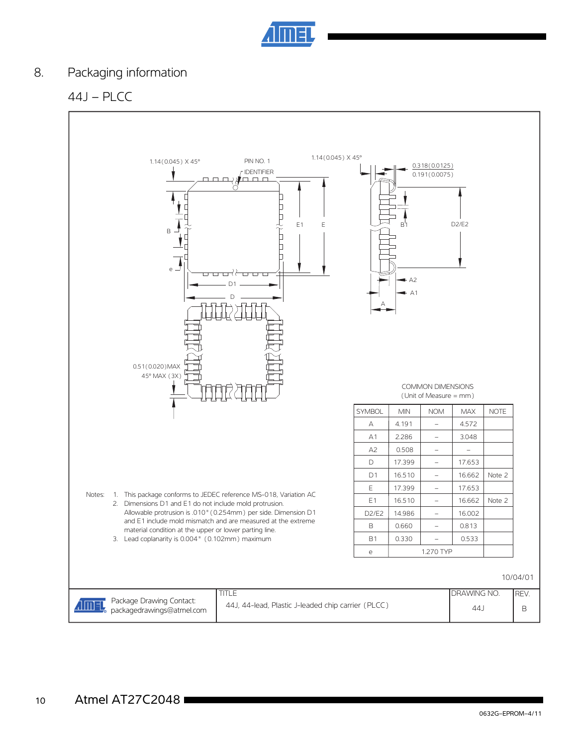

### 8. Packaging information

44J – PLCC

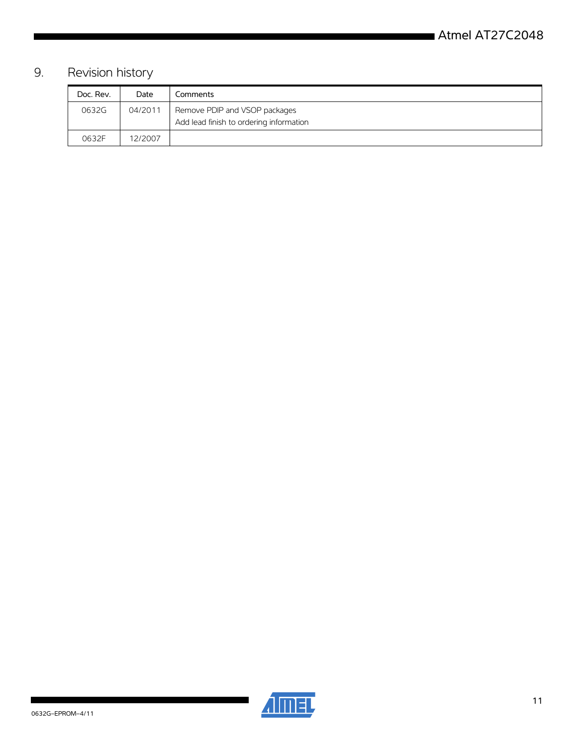## 9. Revision history

| Doc. Rev. | Date    | Comments                                                                 |
|-----------|---------|--------------------------------------------------------------------------|
| 0632G     | 04/2011 | Remove PDIP and VSOP packages<br>Add lead finish to ordering information |
|           |         |                                                                          |
| 0632F     | 12/2007 |                                                                          |



ı